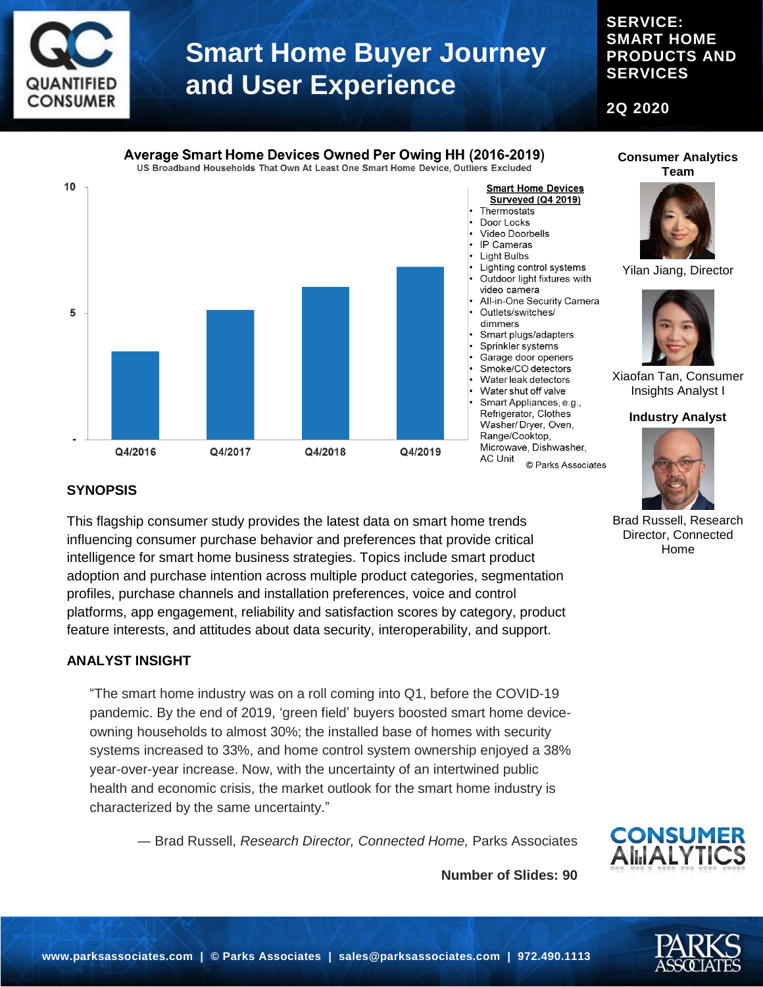

#### **SERVICE: SMART HOME PRODUCTS AND SERVICES**

**2Q 2020**



**Consumer Analytics Team**



Yilan Jiang, Director



Xiaofan Tan, Consumer Insights Analyst I

#### **Industry Analyst**



Brad Russell, Research Director, Connected Home

### **SYNOPSIS**

This flagship consumer study provides the latest data on smart home trends influencing consumer purchase behavior and preferences that provide critical intelligence for smart home business strategies. Topics include smart product adoption and purchase intention across multiple product categories, segmentation profiles, purchase channels and installation preferences, voice and control platforms, app engagement, reliability and satisfaction scores by category, product feature interests, and attitudes about data security, interoperability, and support.

#### **ANALYST INSIGHT**

"The smart home industry was on a roll coming into Q1, before the COVID-19 pandemic. By the end of 2019, 'green field' buyers boosted smart home deviceowning households to almost 30%; the installed base of homes with security systems increased to 33%, and home control system ownership enjoyed a 38% year-over-year increase. Now, with the uncertainty of an intertwined public health and economic crisis, the market outlook for the smart home industry is characterized by the same uncertainty."

― Brad Russell, *Research Director, Connected Home,* Parks Associates

**Number of Slides: 90**

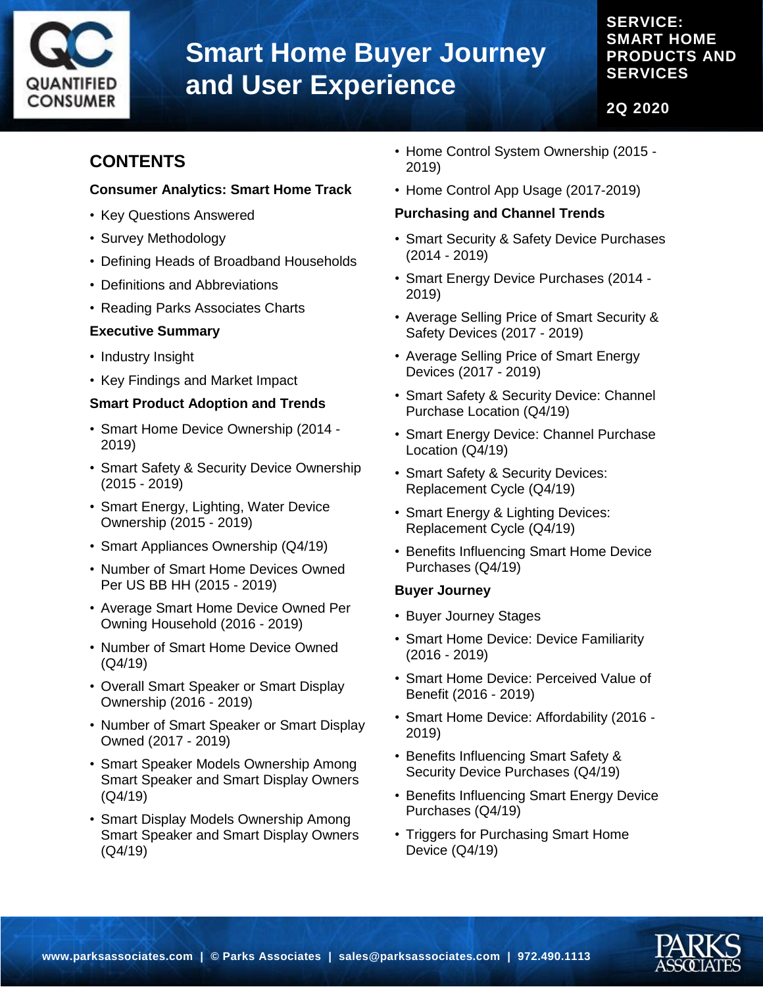

### **SERVICE: SMART HOME PRODUCTS AND SERVICES**

**2Q 2020**

### **CONTENTS**

#### **Consumer Analytics: Smart Home Track**

- Key Questions Answered
- Survey Methodology
- Defining Heads of Broadband Households
- Definitions and Abbreviations
- Reading Parks Associates Charts

#### **Executive Summary**

- Industry Insight
- Key Findings and Market Impact

#### **Smart Product Adoption and Trends**

- Smart Home Device Ownership (2014 2019)
- Smart Safety & Security Device Ownership (2015 - 2019)
- Smart Energy, Lighting, Water Device Ownership (2015 - 2019)
- Smart Appliances Ownership (Q4/19)
- Number of Smart Home Devices Owned Per US BB HH (2015 - 2019)
- Average Smart Home Device Owned Per Owning Household (2016 - 2019)
- Number of Smart Home Device Owned (Q4/19)
- Overall Smart Speaker or Smart Display Ownership (2016 - 2019)
- Number of Smart Speaker or Smart Display Owned (2017 - 2019)
- Smart Speaker Models Ownership Among Smart Speaker and Smart Display Owners (Q4/19)
- Smart Display Models Ownership Among Smart Speaker and Smart Display Owners (Q4/19)
- Home Control System Ownership (2015 2019)
- Home Control App Usage (2017-2019)

#### **Purchasing and Channel Trends**

- Smart Security & Safety Device Purchases (2014 - 2019)
- Smart Energy Device Purchases (2014 2019)
- Average Selling Price of Smart Security & Safety Devices (2017 - 2019)
- Average Selling Price of Smart Energy Devices (2017 - 2019)
- Smart Safety & Security Device: Channel Purchase Location (Q4/19)
- Smart Energy Device: Channel Purchase Location (Q4/19)
- Smart Safety & Security Devices: Replacement Cycle (Q4/19)
- Smart Energy & Lighting Devices: Replacement Cycle (Q4/19)
- Benefits Influencing Smart Home Device Purchases (Q4/19)

#### **Buyer Journey**

- Buyer Journey Stages
- Smart Home Device: Device Familiarity (2016 - 2019)
- Smart Home Device: Perceived Value of Benefit (2016 - 2019)
- Smart Home Device: Affordability (2016 2019)
- Benefits Influencing Smart Safety & Security Device Purchases (Q4/19)
- Benefits Influencing Smart Energy Device Purchases (Q4/19)
- Triggers for Purchasing Smart Home Device (Q4/19)

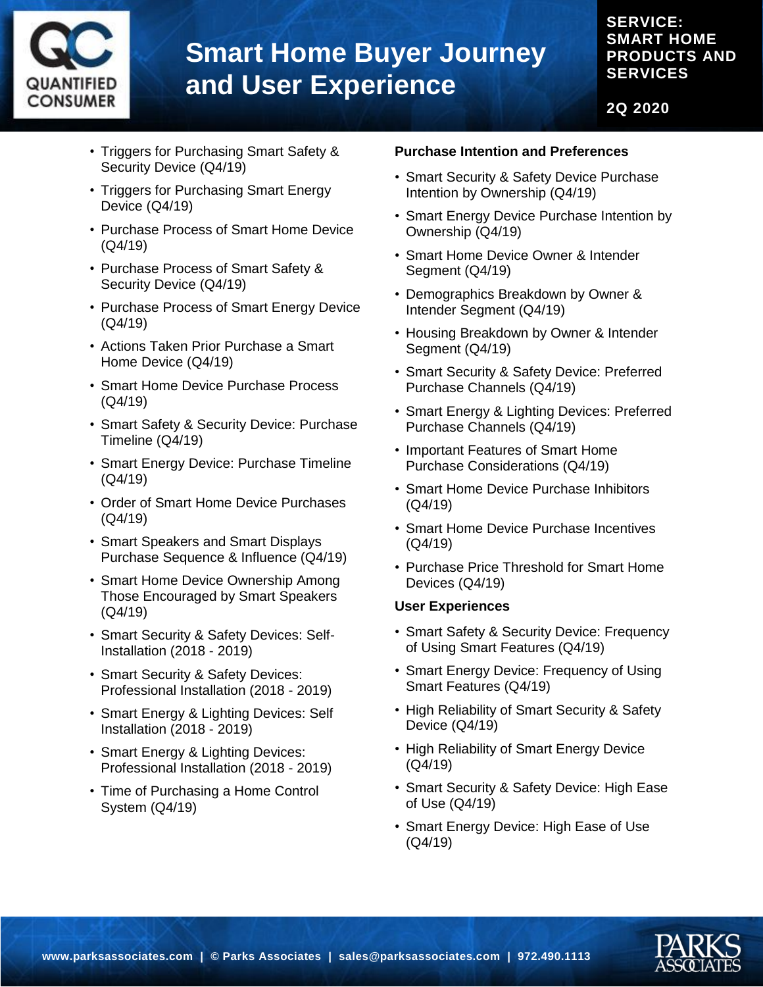

### **SERVICE: SMART HOME PRODUCTS AND SERVICES**

**2Q 2020**

- Triggers for Purchasing Smart Safety & Security Device (Q4/19)
- Triggers for Purchasing Smart Energy Device (Q4/19)
- Purchase Process of Smart Home Device (Q4/19)
- Purchase Process of Smart Safety & Security Device (Q4/19)
- Purchase Process of Smart Energy Device (Q4/19)
- Actions Taken Prior Purchase a Smart Home Device (Q4/19)
- Smart Home Device Purchase Process (Q4/19)
- Smart Safety & Security Device: Purchase Timeline (Q4/19)
- Smart Energy Device: Purchase Timeline (Q4/19)
- Order of Smart Home Device Purchases (Q4/19)
- Smart Speakers and Smart Displays Purchase Sequence & Influence (Q4/19)
- Smart Home Device Ownership Among Those Encouraged by Smart Speakers (Q4/19)
- Smart Security & Safety Devices: Self-Installation (2018 - 2019)
- Smart Security & Safety Devices: Professional Installation (2018 - 2019)
- Smart Energy & Lighting Devices: Self Installation (2018 - 2019)
- Smart Energy & Lighting Devices: Professional Installation (2018 - 2019)
- Time of Purchasing a Home Control System (Q4/19)

#### **Purchase Intention and Preferences**

- Smart Security & Safety Device Purchase Intention by Ownership (Q4/19)
- Smart Energy Device Purchase Intention by Ownership (Q4/19)
- Smart Home Device Owner & Intender Segment (Q4/19)
- Demographics Breakdown by Owner & Intender Segment (Q4/19)
- Housing Breakdown by Owner & Intender Segment (Q4/19)
- Smart Security & Safety Device: Preferred Purchase Channels (Q4/19)
- Smart Energy & Lighting Devices: Preferred Purchase Channels (Q4/19)
- Important Features of Smart Home Purchase Considerations (Q4/19)
- Smart Home Device Purchase Inhibitors (Q4/19)
- Smart Home Device Purchase Incentives (Q4/19)
- Purchase Price Threshold for Smart Home Devices (Q4/19)

#### **User Experiences**

- Smart Safety & Security Device: Frequency of Using Smart Features (Q4/19)
- Smart Energy Device: Frequency of Using Smart Features (Q4/19)
- High Reliability of Smart Security & Safety Device (Q4/19)
- High Reliability of Smart Energy Device (Q4/19)
- Smart Security & Safety Device: High Ease of Use (Q4/19)
- Smart Energy Device: High Ease of Use (Q4/19)

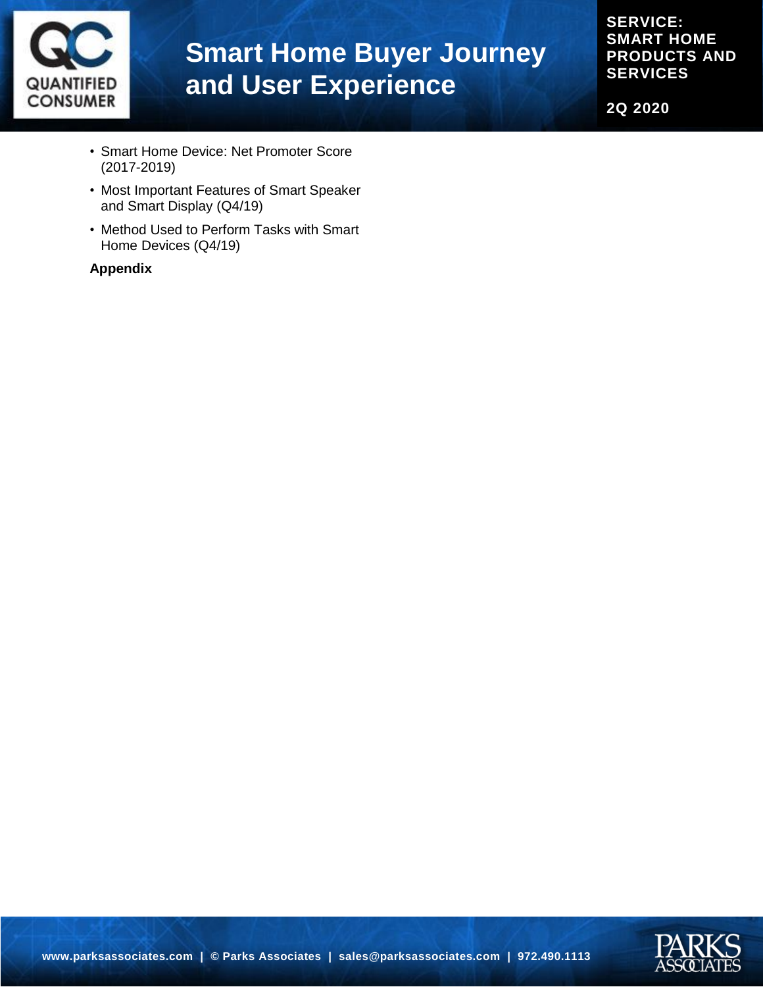

**SERVICE: SMART HOME PRODUCTS AND SERVICES**

**2Q 2020**

- Smart Home Device: Net Promoter Score (2017-2019)
- Most Important Features of Smart Speaker and Smart Display (Q4/19)
- Method Used to Perform Tasks with Smart Home Devices (Q4/19)

#### **Appendix**